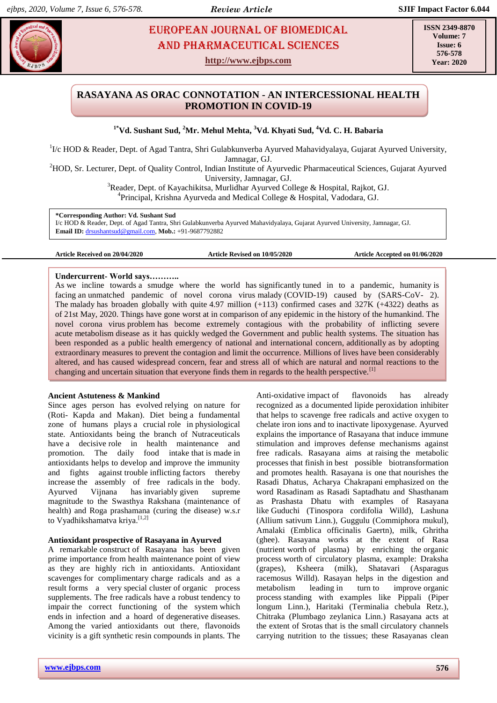# **EUROPEAN JOURNAL OF BIOMEDICAL AND SEX 23** AND Pharmaceutical sciences

**http://www.ejbps.com**

**ISSN 2349-8870 Volume: 7 Issue: 6 576-578 Year: 2020**

## **RASAYANA AS ORAC CONNOTATION - AN INTERCESSIONAL HEALTH PROMOTION IN COVID-19**

**1\*Vd. Sushant Sud, <sup>2</sup>Mr. Mehul Mehta, <sup>3</sup>Vd. Khyati Sud, <sup>4</sup>Vd. C. H. Babaria**

<sup>1</sup>I/c HOD & Reader, Dept. of Agad Tantra, Shri Gulabkunverba Ayurved Mahavidyalaya, Gujarat Ayurved University, Jamnagar, GJ.

<sup>2</sup>HOD, Sr. Lecturer, Dept. of Quality Control, Indian Institute of Ayurvedic Pharmaceutical Sciences, Gujarat Ayurved University, Jamnagar, GJ.

> <sup>3</sup>Reader, Dept. of Kayachikitsa, Murlidhar Ayurved College & Hospital, Rajkot, GJ. <sup>4</sup>Principal, Krishna Ayurveda and Medical College & Hospital, Vadodara, GJ.

**\*Corresponding Author: Vd. Sushant Sud**

I/c HOD & Reader, Dept. of Agad Tantra, Shri Gulabkunverba Ayurved Mahavidyalaya, Gujarat Ayurved University, Jamnagar, GJ. **Email ID:** [drsushantsud@gmail.com,](mailto:drsushantsud@gmail.com) **Mob.:** +91-9687792882

**Article Received on 20/04/2020 Article Revised on 10/05/2020 Article Accepted on 01/06/2020**

## **Undercurrent- World says………..**

As we incline towards a smudge where the world has significantly tuned in to a pandemic, humanity is facing an unmatched pandemic of novel corona virus malady (COVID-19) caused by (SARS-CoV- 2). The malady has broaden globally with quite 4.97 million (+113) confirmed cases and 327K (+4322) deaths as of 21st May, 2020. Things have gone worst at in comparison of any epidemic in the history of the humankind. The novel corona virus problem has become extremely contagious with the probability of inflicting severe acute metabolism disease as it has quickly wedged the Government and public health systems. The situation has been responded as a public health emergency of national and international concern, additionally as by adopting extraordinary measures to prevent the contagion and limit the occurrence. Millions of lives have been considerably altered, and has caused widespread concern, fear and stress all of which are natural and normal reactions to the changing and uncertain situation that everyone finds them in regards to the health perspective.<sup>[1]</sup>

## **Ancient Astuteness & Mankind**

Since ages person has evolved relying on nature for (Roti- Kapda and Makan). Diet being a fundamental zone of humans plays a crucial role in physiological state. Antioxidants being the branch of Nutraceuticals have a decisive role in health maintenance and promotion. The daily food intake that is made in antioxidants helps to develop and improve the immunity and fights against trouble inflicting factors thereby increase the assembly of free radicals in the body. Ayurved Vijnana has invariably given supreme magnitude to the Swasthya Rakshana (maintenance of health) and Roga prashamana (curing the disease) w.s.r to Vyadhikshamatva kriya.<sup>[1,2]</sup>

## **Antioxidant prospective of Rasayana in Ayurved**

A remarkable construct of Rasayana has been given prime importance from health maintenance point of view as they are highly rich in antioxidants. Antioxidant scavenges for complimentary charge radicals and as a result forms a very special cluster of organic process supplements. The free radicals have a robust tendency to impair the correct functioning of the system which ends in infection and a hoard of degenerative diseases. Among the varied antioxidants out there, flavonoids vicinity is a gift synthetic resin compounds in plants. The

**www.ejbps.com 576**

Anti-oxidative impact of flavonoids has already recognized as a documented lipide peroxidation inhibiter that helps to scavenge free radicals and active oxygen to chelate iron ions and to inactivate lipoxygenase. Ayurved explains the importance of Rasayana that induce immune stimulation and improves defense mechanisms against free radicals. Rasayana aims at raising the metabolic processes that finish in best possible biotransformation and promotes health. Rasayana is one that nourishes the Rasadi Dhatus, Acharya Chakrapani emphasized on the word Rasadinam as Rasadi Saptadhatu and Shasthanam as Prashasta Dhatu with examples of Rasayana like Guduchi (Tinospora cordifolia Willd), Lashuna (Allium sativum Linn.), Guggulu (Commiphora mukul), Amalaki (Emblica officinalis Gaertn), milk, Ghritha (ghee). Rasayana works at the extent of Rasa (nutrient worth of plasma) by enriching the organic process worth of circulatory plasma, example: Draksha (grapes), Ksheera (milk), Shatavari (Asparagus racemosus Willd). Rasayan helps in the digestion and metabolism leading in turn to improve organic process standing with examples like Pippali (Piper longum Linn.), Haritaki (Terminalia chebula Retz.), Chitraka (Plumbago zeylanica Linn.) Rasayana acts at the extent of Srotas that is the small circulatory channels carrying nutrition to the tissues; these Rasayanas clean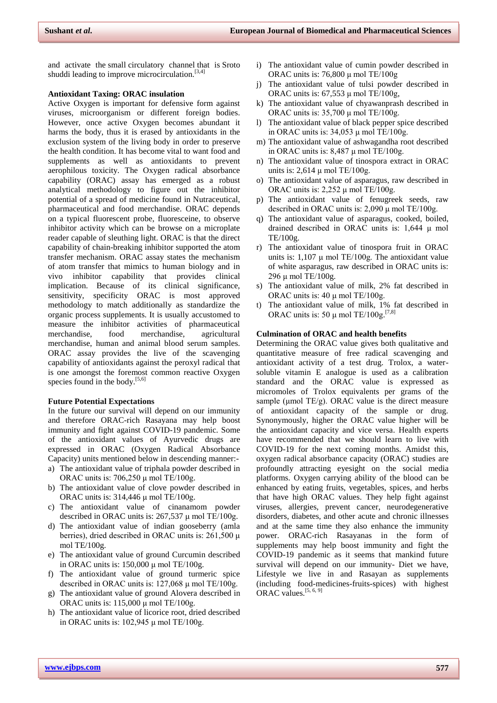and activate the small circulatory channel that is Sroto shuddi leading to improve microcirculation.<sup>[3,4]</sup>

#### **Antioxidant Taxing: ORAC insulation**

Active Oxygen is important for defensive form against viruses, microorganism or different foreign bodies. However, once active Oxygen becomes abundant it harms the body, thus it is erased by antioxidants in the exclusion system of the living body in order to preserve the health condition. It has become vital to want food and supplements as well as antioxidants to prevent aerophilous toxicity. The Oxygen radical absorbance capability (ORAC) assay has emerged as a robust analytical methodology to figure out the inhibitor potential of a spread of medicine found in Nutraceutical, pharmaceutical and food merchandise. ORAC depends on a typical fluorescent probe, fluoresceine, to observe inhibitor activity which can be browse on a microplate reader capable of sleuthing light. ORAC is that the direct capability of chain-breaking inhibitor supported the atom transfer mechanism. ORAC assay states the mechanism of atom transfer that mimics to human biology and in vivo inhibitor capability that provides clinical implication. Because of its clinical significance, sensitivity, specificity ORAC is most approved methodology to match additionally as standardize the organic process supplements. It is usually accustomed to measure the inhibitor activities of pharmaceutical merchandise, food merchandise, agricultural merchandise, human and animal blood serum samples. ORAC assay provides the live of the scavenging capability of antioxidants against the peroxyl radical that is one amongst the foremost common reactive Oxygen species found in the body. $[5,6]$ 

### **Future Potential Expectations**

In the future our survival will depend on our immunity and therefore ORAC-rich Rasayana may help boost immunity and fight against COVID-19 pandemic. Some of the antioxidant values of Ayurvedic drugs are expressed in ORAC (Oxygen Radical Absorbance Capacity) units mentioned below in descending manner:-

- a) The antioxidant value of triphala powder described in ORAC units is: 706,250 μ mol TE/100g.
- b) The antioxidant value of clove powder described in ORAC units is: 314,446 μ mol TE/100g.
- c) The antioxidant value of cinanamom powder described in ORAC units is:  $267,537 \mu$  mol TE/100g.
- d) The antioxidant value of indian gooseberry (amla berries), dried described in ORAC units is: 261,500 μ mol TE/100g.
- e) The antioxidant value of ground Curcumin described in ORAC units is:  $150,000 \mu$  mol TE/100g.
- f) The antioxidant value of ground turmeric spice described in ORAC units is: 127,068 μ mol TE/100g.
- g) The antioxidant value of ground Alovera described in ORAC units is: 115,000 μ mol TE/100g.
- h) The antioxidant value of licorice root, dried described in ORAC units is:  $102,945 \mu$  mol TE/100g.
- i) The antioxidant value of cumin powder described in ORAC units is: 76,800 μ mol TE/100g
- j) The antioxidant value of tulsi powder described in ORAC units is:  $67,553 \mu$  mol TE/100g,
- k) The antioxidant value of chyawanprash described in ORAC units is:  $35,700 \mu$  mol TE/100g.
- l) The antioxidant value of black pepper spice described in ORAC units is:  $34,053 \mu$  mol TE/100g.
- m) The antioxidant value of ashwagandha root described in ORAC units is: 8,487 μ mol TE/100g.
- n) The antioxidant value of tinospora extract in ORAC units is:  $2,614 \mu$  mol TE/100g.
- o) The antioxidant value of asparagus, raw described in ORAC units is:  $2,252 \mu$  mol TE/100g.
- p) The antioxidant value of fenugreek seeds, raw described in ORAC units is: 2,090 μ mol TE/100g.
- q) The antioxidant value of asparagus, cooked, boiled, drained described in ORAC units is: 1,644 μ mol TE/100g.
- r) The antioxidant value of tinospora fruit in ORAC units is:  $1,107 \mu$  mol TE/100g. The antioxidant value of white asparagus, raw described in ORAC units is: 296 μ mol TE/100g.
- s) The antioxidant value of milk, 2% fat described in ORAC units is:  $40 \mu$  mol TE/100g.
- t) The antioxidant value of milk, 1% fat described in ORAC units is: 50  $\mu$  mol TE/100g.<sup>[7,8]</sup>

#### **Culmination of ORAC and health benefits**

Determining the ORAC value gives both qualitative and quantitative measure of free radical scavenging and antioxidant activity of a test drug. Trolox, a watersoluble vitamin E analogue is used as a calibration standard and the ORAC value is expressed as micromoles of Trolox equivalents per grams of the sample ( $\mu$ mol TE/g). ORAC value is the direct measure of antioxidant capacity of the sample or drug. Synonymously, higher the ORAC value higher will be the antioxidant capacity and vice versa. Health experts have recommended that we should learn to live with COVID-19 for the next coming months. Amidst this, oxygen radical absorbance capacity (ORAC) studies are profoundly attracting eyesight on the social media platforms. Oxygen carrying ability of the blood can be enhanced by eating fruits, vegetables, spices, and herbs that have high ORAC values. They help fight against viruses, allergies, prevent cancer, neurodegenerative disorders, diabetes, and other acute and chronic illnesses and at the same time they also enhance the immunity power. ORAC-rich Rasayanas in the form of supplements may help boost immunity and fight the COVID-19 pandemic as it seems that mankind future survival will depend on our immunity- Diet we have, Lifestyle we live in and Rasayan as supplements (including food-medicines-fruits-spices) with highest ORAC values.<sup>[5, 6, 9]</sup>